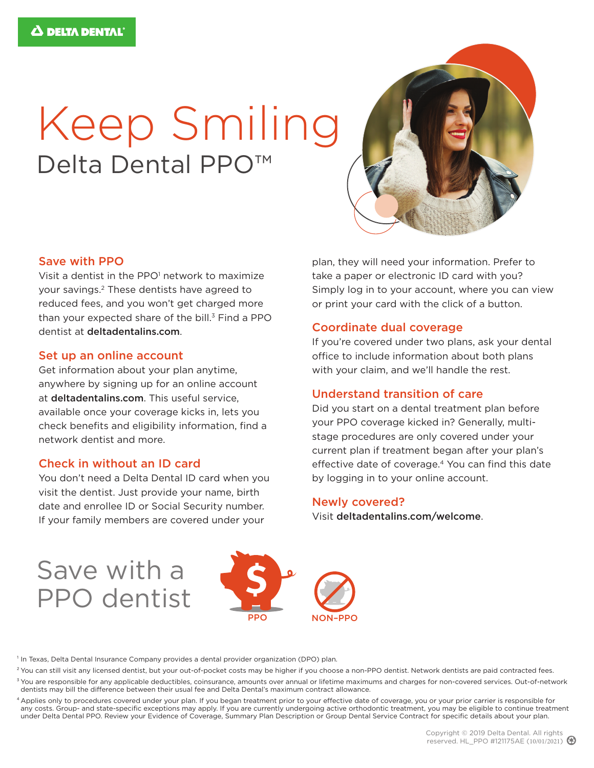# Keep Smiling Delta Dental PPO<sup>™</sup>



#### Save with PPO

Visit a dentist in the PPO<sup>1</sup> network to maximize your savings.2 These dentists have agreed to reduced fees, and you won't get charged more than your expected share of the bill. $3$  Find a PPO dentist at deltadentalins.com.

#### Set up an online account

Get information about your plan anytime, anywhere by signing up for an online account at deltadentalins.com. This useful service, available once your coverage kicks in, lets you check benefits and eligibility information, find a network dentist and more.

#### Check in without an ID card

You don't need a Delta Dental ID card when you visit the dentist. Just provide your name, birth date and enrollee ID or Social Security number. If your family members are covered under your

plan, they will need your information. Prefer to take a paper or electronic ID card with you? Simply log in to your account, where you can view or print your card with the click of a button.

#### Coordinate dual coverage

If you're covered under two plans, ask your dental office to include information about both plans with your claim, and we'll handle the rest.

#### Understand transition of care

Did you start on a dental treatment plan before your PPO coverage kicked in? Generally, multistage procedures are only covered under your current plan if treatment began after your plan's effective date of coverage.<sup>4</sup> You can find this date by logging in to your online account.

#### Newly covered?

Visit deltadentalins.com/welcome.

## Save with a PPO dentist



<sup>1</sup> In Texas, Delta Dental Insurance Company provides a dental provider organization (DPO) plan.

<sup>2</sup> You can still visit any licensed dentist, but your out-of-pocket costs may be higher if you choose a non-PPO dentist. Network dentists are paid contracted fees.

<sup>3</sup> You are responsible for any applicable deductibles, coinsurance, amounts over annual or lifetime maximums and charges for non-covered services. Out-of-network dentists may bill the difference between their usual fee and Delta Dental's maximum contract allowance.

4 Applies only to procedures covered under your plan. If you began treatment prior to your effective date of coverage, you or your prior carrier is responsible for any costs. Group- and state-specific exceptions may apply. If you are currently undergoing active orthodontic treatment, you may be eligible to continue treatment under Delta Dental PPO. Review your Evidence of Coverage, Summary Plan Description or Group Dental Service Contract for specific details about your plan.